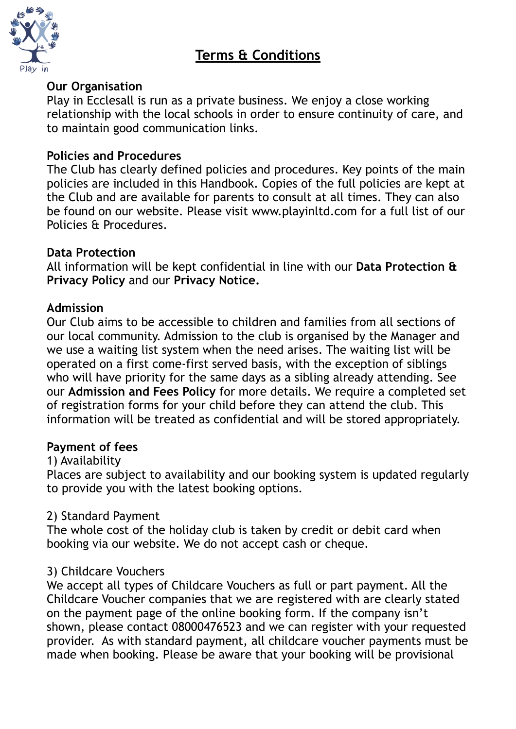



#### **Our Organisation**

Play in Ecclesall is run as a private business. We enjoy a close working relationship with the local schools in order to ensure continuity of care, and to maintain good communication links.

### **Policies and Procedures**

The Club has clearly defined policies and procedures. Key points of the main policies are included in this Handbook. Copies of the full policies are kept at the Club and are available for parents to consult at all times. They can also be found on our website. Please visit [www.playinltd.com](http://www.playinltd.com) for a full list of our Policies & Procedures.

### **Data Protection**

All information will be kept confidential in line with our **Data Protection & Privacy Policy** and our **Privacy Notice.**

### **Admission**

Our Club aims to be accessible to children and families from all sections of our local community. Admission to the club is organised by the Manager and we use a waiting list system when the need arises. The waiting list will be operated on a first come-first served basis, with the exception of siblings who will have priority for the same days as a sibling already attending. See our **Admission and Fees Policy** for more details. We require a completed set of registration forms for your child before they can attend the club. This information will be treated as confidential and will be stored appropriately.

#### **Payment of fees**

#### 1) Availability

Places are subject to availability and our booking system is updated regularly to provide you with the latest booking options.

#### 2) Standard Payment

The whole cost of the holiday club is taken by credit or debit card when booking via our website. We do not accept cash or cheque.

## 3) Childcare Vouchers

We accept all types of Childcare Vouchers as full or part payment. All the Childcare Voucher companies that we are registered with are clearly stated on the payment page of the online booking form. If the company isn't shown, please contact 08000476523 and we can register with your requested provider. As with standard payment, all childcare voucher payments must be made when booking. Please be aware that your booking will be provisional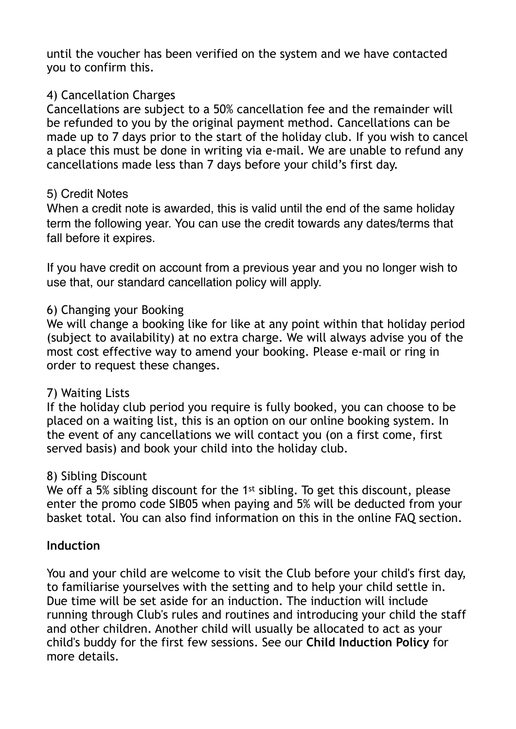until the voucher has been verified on the system and we have contacted you to confirm this.

## 4) Cancellation Charges

Cancellations are subject to a 50% cancellation fee and the remainder will be refunded to you by the original payment method. Cancellations can be made up to 7 days prior to the start of the holiday club. If you wish to cancel a place this must be done in writing via e-mail. We are unable to refund any cancellations made less than 7 days before your child's first day.

## 5) Credit Notes

When a credit note is awarded, this is valid until the end of the same holiday term the following year. You can use the credit towards any dates/terms that fall before it expires.

If you have credit on account from a previous year and you no longer wish to use that, our standard cancellation policy will apply.

## 6) Changing your Booking

We will change a booking like for like at any point within that holiday period (subject to availability) at no extra charge. We will always advise you of the most cost effective way to amend your booking. Please e-mail or ring in order to request these changes.

#### 7) Waiting Lists

If the holiday club period you require is fully booked, you can choose to be placed on a waiting list, this is an option on our online booking system. In the event of any cancellations we will contact you (on a first come, first served basis) and book your child into the holiday club.

## 8) Sibling Discount

We off a 5% sibling discount for the 1<sup>st</sup> sibling. To get this discount, please enter the promo code SIB05 when paying and 5% will be deducted from your basket total. You can also find information on this in the online FAQ section.

#### **Induction**

You and your child are welcome to visit the Club before your child's first day, to familiarise yourselves with the setting and to help your child settle in. Due time will be set aside for an induction. The induction will include running through Club's rules and routines and introducing your child the staff and other children. Another child will usually be allocated to act as your child's buddy for the first few sessions. See our **Child Induction Policy** for more details.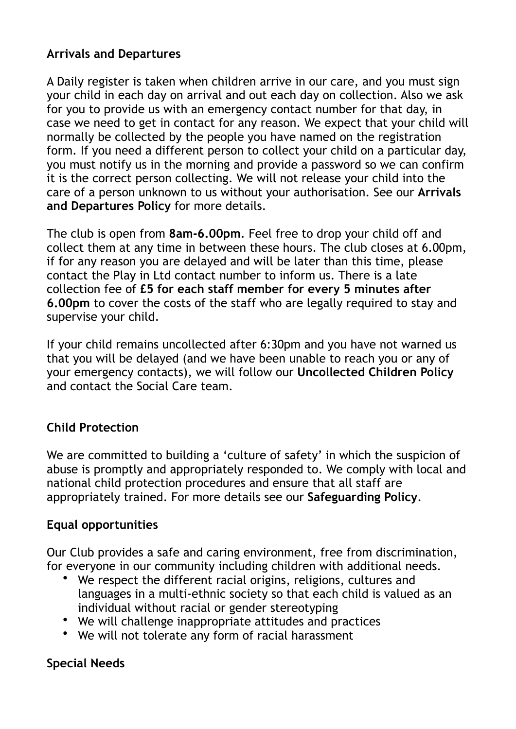## **Arrivals and Departures**

A Daily register is taken when children arrive in our care, and you must sign your child in each day on arrival and out each day on collection. Also we ask for you to provide us with an emergency contact number for that day, in case we need to get in contact for any reason. We expect that your child will normally be collected by the people you have named on the registration form. If you need a different person to collect your child on a particular day, you must notify us in the morning and provide a password so we can confirm it is the correct person collecting. We will not release your child into the care of a person unknown to us without your authorisation. See our **Arrivals and Departures Policy** for more details.

The club is open from **8am-6.00pm**. Feel free to drop your child off and collect them at any time in between these hours. The club closes at 6.00pm, if for any reason you are delayed and will be later than this time, please contact the Play in Ltd contact number to inform us. There is a late collection fee of **£5 for each staff member for every 5 minutes after 6.00pm** to cover the costs of the staff who are legally required to stay and supervise your child.

If your child remains uncollected after 6:30pm and you have not warned us that you will be delayed (and we have been unable to reach you or any of your emergency contacts), we will follow our **Uncollected Children Policy**  and contact the Social Care team.

# **Child Protection**

We are committed to building a 'culture of safety' in which the suspicion of abuse is promptly and appropriately responded to. We comply with local and national child protection procedures and ensure that all staff are appropriately trained. For more details see our **Safeguarding Policy**.

## **Equal opportunities**

Our Club provides a safe and caring environment, free from discrimination, for everyone in our community including children with additional needs.

- We respect the different racial origins, religions, cultures and languages in a multi-ethnic society so that each child is valued as an individual without racial or gender stereotyping
- We will challenge inappropriate attitudes and practices
- We will not tolerate any form of racial harassment

# **Special Needs**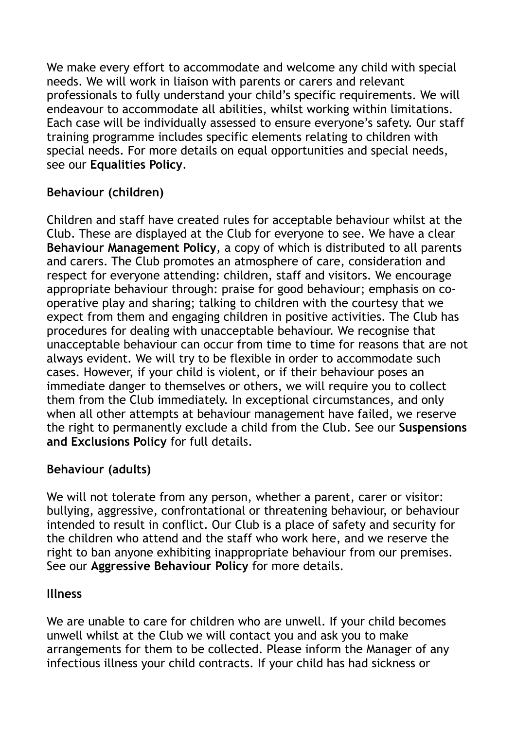We make every effort to accommodate and welcome any child with special needs. We will work in liaison with parents or carers and relevant professionals to fully understand your child's specific requirements. We will endeavour to accommodate all abilities, whilst working within limitations. Each case will be individually assessed to ensure everyone's safety. Our staff training programme includes specific elements relating to children with special needs. For more details on equal opportunities and special needs, see our **Equalities Policy**.

# **Behaviour (children)**

Children and staff have created rules for acceptable behaviour whilst at the Club. These are displayed at the Club for everyone to see. We have a clear **Behaviour Management Policy**, a copy of which is distributed to all parents and carers. The Club promotes an atmosphere of care, consideration and respect for everyone attending: children, staff and visitors. We encourage appropriate behaviour through: praise for good behaviour; emphasis on cooperative play and sharing; talking to children with the courtesy that we expect from them and engaging children in positive activities. The Club has procedures for dealing with unacceptable behaviour. We recognise that unacceptable behaviour can occur from time to time for reasons that are not always evident. We will try to be flexible in order to accommodate such cases. However, if your child is violent, or if their behaviour poses an immediate danger to themselves or others, we will require you to collect them from the Club immediately. In exceptional circumstances, and only when all other attempts at behaviour management have failed, we reserve the right to permanently exclude a child from the Club. See our **Suspensions and Exclusions Policy** for full details.

# **Behaviour (adults)**

We will not tolerate from any person, whether a parent, carer or visitor: bullying, aggressive, confrontational or threatening behaviour, or behaviour intended to result in conflict. Our Club is a place of safety and security for the children who attend and the staff who work here, and we reserve the right to ban anyone exhibiting inappropriate behaviour from our premises. See our **Aggressive Behaviour Policy** for more details.

## **Illness**

We are unable to care for children who are unwell. If your child becomes unwell whilst at the Club we will contact you and ask you to make arrangements for them to be collected. Please inform the Manager of any infectious illness your child contracts. If your child has had sickness or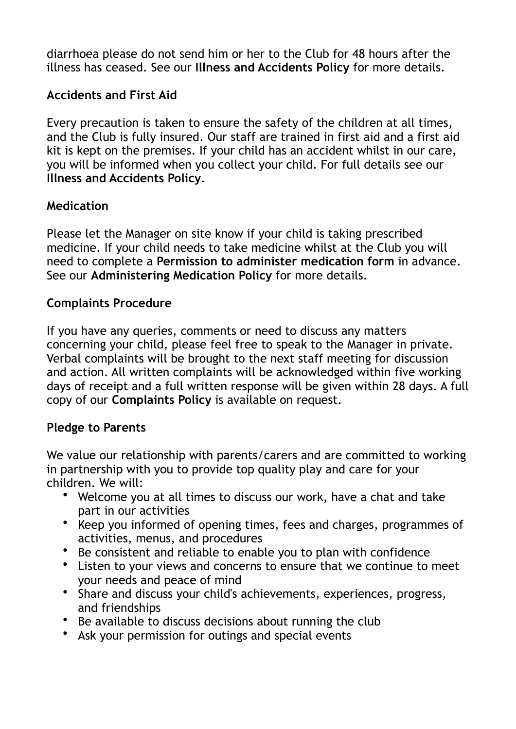diarrhoea please do not send him or her to the Club for 48 hours after the illness has ceased. See our **Illness and Accidents Policy** for more details.

# **Accidents and First Aid**

Every precaution is taken to ensure the safety of the children at all times, and the Club is fully insured. Our staff are trained in first aid and a first aid kit is kept on the premises. If your child has an accident whilst in our care, you will be informed when you collect your child. For full details see our **Illness and Accidents Policy**.

# **Medication**

Please let the Manager on site know if your child is taking prescribed medicine. If your child needs to take medicine whilst at the Club you will need to complete a **Permission to administer medication form** in advance. See our **Administering Medication Policy** for more details.

## **Complaints Procedure**

If you have any queries, comments or need to discuss any matters concerning your child, please feel free to speak to the Manager in private. Verbal complaints will be brought to the next staff meeting for discussion and action. All written complaints will be acknowledged within five working days of receipt and a full written response will be given within 28 days. A full copy of our **Complaints Policy** is available on request.

# **Pledge to Parents**

We value our relationship with parents/carers and are committed to working in partnership with you to provide top quality play and care for your children. We will:

- Welcome you at all times to discuss our work, have a chat and take part in our activities
- Keep you informed of opening times, fees and charges, programmes of activities, menus, and procedures
- Be consistent and reliable to enable you to plan with confidence
- Listen to your views and concerns to ensure that we continue to meet your needs and peace of mind
- Share and discuss your child's achievements, experiences, progress, and friendships
- Be available to discuss decisions about running the club
- Ask your permission for outings and special events